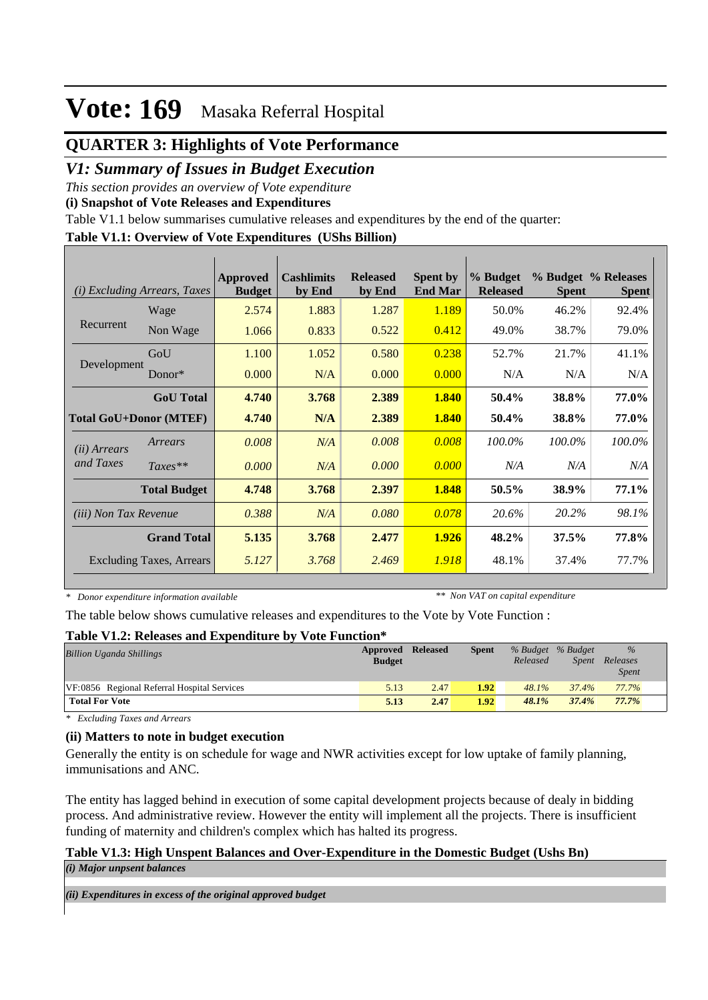## **QUARTER 3: Highlights of Vote Performance**

### *V1: Summary of Issues in Budget Execution*

*This section provides an overview of Vote expenditure* 

**(i) Snapshot of Vote Releases and Expenditures**

Table V1.1 below summarises cumulative releases and expenditures by the end of the quarter:

### **Table V1.1: Overview of Vote Expenditures (UShs Billion)**

| (i)                          | <i>Excluding Arrears, Taxes</i> | <b>Approved</b><br><b>Budget</b> | <b>Cashlimits</b><br>by End | <b>Released</b><br>by End | <b>Spent by</b><br><b>End Mar</b> | % Budget<br><b>Released</b> | <b>Spent</b> | % Budget % Releases<br><b>Spent</b> |
|------------------------------|---------------------------------|----------------------------------|-----------------------------|---------------------------|-----------------------------------|-----------------------------|--------------|-------------------------------------|
|                              | Wage                            | 2.574                            | 1.883                       | 1.287                     | 1.189                             | 50.0%                       | 46.2%        | 92.4%                               |
| Recurrent                    | Non Wage                        | 1.066                            | 0.833                       | 0.522                     | 0.412                             | 49.0%                       | 38.7%        | 79.0%                               |
|                              | GoU                             | 1.100                            | 1.052                       | 0.580                     | 0.238                             | 52.7%                       | 21.7%        | 41.1%                               |
| Development                  | Donor $*$                       | 0.000                            | N/A                         | 0.000                     | 0.000                             | N/A                         | N/A          | N/A                                 |
|                              | <b>GoU</b> Total                | 4.740                            | 3.768                       | 2.389                     | 1.840                             | 50.4%                       | 38.8%        | 77.0%                               |
|                              | <b>Total GoU+Donor (MTEF)</b>   | 4.740                            | N/A                         | 2.389                     | 1.840                             | 50.4%                       | 38.8%        | 77.0%                               |
| ( <i>ii</i> ) Arrears        | Arrears                         | 0.008                            | N/A                         | 0.008                     | 0.008                             | 100.0%                      | 100.0%       | 100.0%                              |
| and Taxes                    | $Taxes**$                       | 0.000                            | N/A                         | 0.000                     | 0.000                             | N/A                         | N/A          | N/A                                 |
|                              | <b>Total Budget</b>             | 4.748                            | 3.768                       | 2.397                     | 1.848                             | 50.5%                       | 38.9%        | 77.1%                               |
| <i>(iii)</i> Non Tax Revenue |                                 | 0.388                            | N/A                         | 0.080                     | 0.078                             | 20.6%                       | 20.2%        | 98.1%                               |
|                              | <b>Grand Total</b>              | 5.135                            | 3.768                       | 2.477                     | 1.926                             | 48.2%                       | 37.5%        | 77.8%                               |
|                              | <b>Excluding Taxes, Arrears</b> | 5.127                            | 3.768                       | 2.469                     | 1.918                             | 48.1%                       | 37.4%        | 77.7%                               |

*\* Donor expenditure information available*

*\*\* Non VAT on capital expenditure*

The table below shows cumulative releases and expenditures to the Vote by Vote Function :

#### **Table V1.2: Releases and Expenditure by Vote Function\***

| <b>Billion Uganda Shillings</b>             | Approved Released<br><b>Budget</b> |      | <b>Spent</b> | % Budget % Budget<br>Released | <i>Spent</i> | $\%$<br>Releases<br><i>Spent</i> |  |
|---------------------------------------------|------------------------------------|------|--------------|-------------------------------|--------------|----------------------------------|--|
| VF:0856 Regional Referral Hospital Services | 5.13                               | 2.47 | 1.92         | $48.1\%$                      | 37.4%        | 77.7%                            |  |
| <b>Total For Vote</b>                       | 5.13                               | 2.47 | 1.92         | 48.1%                         | 37.4%        | 77.7%                            |  |

*\* Excluding Taxes and Arrears*

### **(ii) Matters to note in budget execution**

Generally the entity is on schedule for wage and NWR activities except for low uptake of family planning, immunisations and ANC.

The entity has lagged behind in execution of some capital development projects because of dealy in bidding process. And administrative review. However the entity will implement all the projects. There is insufficient funding of maternity and children's complex which has halted its progress.

### **Table V1.3: High Unspent Balances and Over-Expenditure in the Domestic Budget (Ushs Bn)**

*(i) Major unpsent balances*

*(ii) Expenditures in excess of the original approved budget*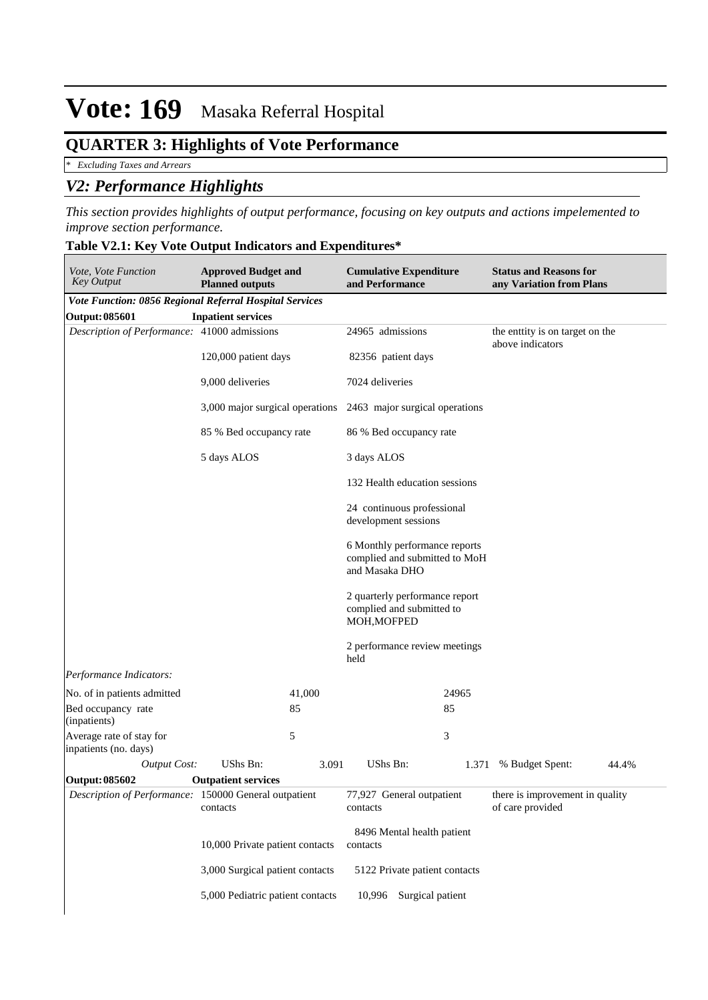## **QUARTER 3: Highlights of Vote Performance**

*\* Excluding Taxes and Arrears*

## *V2: Performance Highlights*

*This section provides highlights of output performance, focusing on key outputs and actions impelemented to improve section performance.*

### **Table V2.1: Key Vote Output Indicators and Expenditures\***

| Vote, Vote Function<br><b>Key Output</b>                | <b>Approved Budget and</b><br><b>Planned outputs</b>           |                  | and Performance    | <b>Cumulative Expenditure</b>                                  |                                                     | <b>Status and Reasons for</b><br>any Variation from Plans |       |
|---------------------------------------------------------|----------------------------------------------------------------|------------------|--------------------|----------------------------------------------------------------|-----------------------------------------------------|-----------------------------------------------------------|-------|
| Vote Function: 0856 Regional Referral Hospital Services |                                                                |                  |                    |                                                                |                                                     |                                                           |       |
| Output: 085601                                          | <b>Inpatient services</b>                                      |                  |                    |                                                                |                                                     |                                                           |       |
| Description of Performance: 41000 admissions            |                                                                | 24965 admissions |                    |                                                                | the enttity is on target on the<br>above indicators |                                                           |       |
|                                                         | 120,000 patient days                                           |                  | 82356 patient days |                                                                |                                                     |                                                           |       |
|                                                         | 9,000 deliveries                                               |                  | 7024 deliveries    |                                                                |                                                     |                                                           |       |
|                                                         | 3,000 major surgical operations 2463 major surgical operations |                  |                    |                                                                |                                                     |                                                           |       |
|                                                         | 85 % Bed occupancy rate                                        |                  |                    | 86 % Bed occupancy rate                                        |                                                     |                                                           |       |
|                                                         | 5 days ALOS                                                    |                  | 3 days ALOS        |                                                                |                                                     |                                                           |       |
|                                                         |                                                                |                  |                    | 132 Health education sessions                                  |                                                     |                                                           |       |
|                                                         |                                                                |                  |                    | 24 continuous professional<br>development sessions             |                                                     |                                                           |       |
|                                                         |                                                                |                  | and Masaka DHO     | 6 Monthly performance reports<br>complied and submitted to MoH |                                                     |                                                           |       |
|                                                         |                                                                |                  | MOH, MOFPED        | 2 quarterly performance report<br>complied and submitted to    |                                                     |                                                           |       |
|                                                         |                                                                |                  | held               | 2 performance review meetings                                  |                                                     |                                                           |       |
| Performance Indicators:                                 |                                                                |                  |                    |                                                                |                                                     |                                                           |       |
| No. of in patients admitted                             |                                                                | 41,000           |                    | 24965                                                          |                                                     |                                                           |       |
| Bed occupancy rate<br>(inpatients)                      |                                                                | 85               |                    | 85                                                             |                                                     |                                                           |       |
| Average rate of stay for<br>inpatients (no. days)       | 5                                                              |                  |                    | 3                                                              |                                                     |                                                           |       |
| <b>Output Cost:</b>                                     | <b>UShs Bn:</b>                                                | 3.091            | UShs Bn:           |                                                                | 1.371                                               | % Budget Spent:                                           | 44.4% |
| Output: 085602                                          | <b>Outpatient services</b>                                     |                  |                    |                                                                |                                                     |                                                           |       |
| Description of Performance: 150000 General outpatient   | contacts                                                       |                  | contacts           | 77,927 General outpatient                                      |                                                     | there is improvement in quality<br>of care provided       |       |
|                                                         | 10,000 Private patient contacts                                |                  | contacts           | 8496 Mental health patient                                     |                                                     |                                                           |       |
|                                                         | 3,000 Surgical patient contacts                                |                  |                    | 5122 Private patient contacts                                  |                                                     |                                                           |       |
|                                                         | 5,000 Pediatric patient contacts                               |                  | 10,996             | Surgical patient                                               |                                                     |                                                           |       |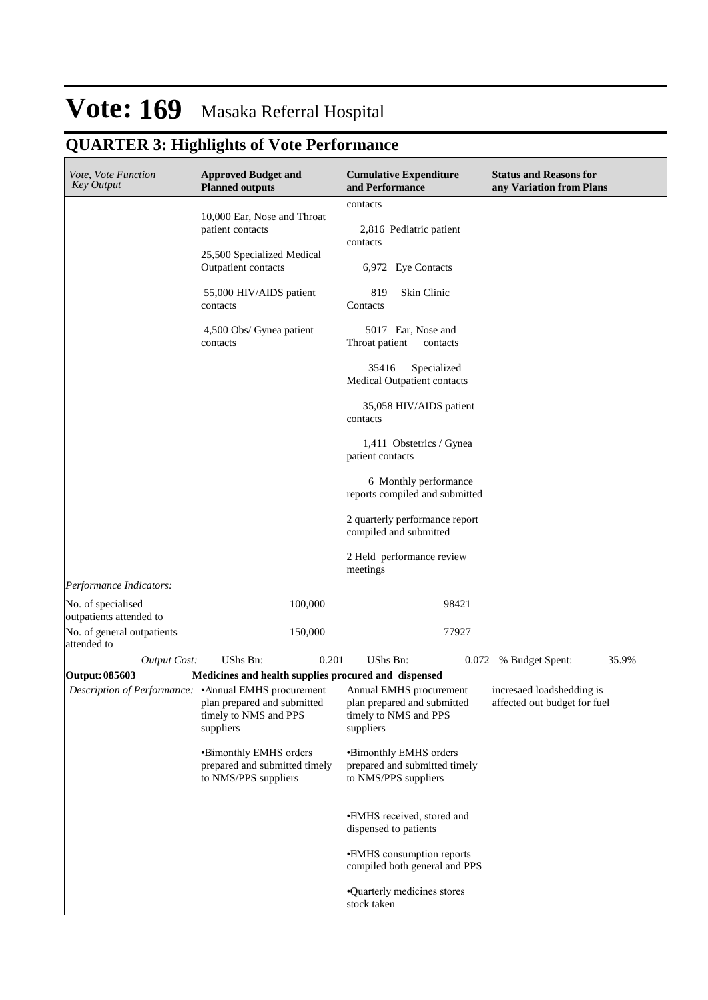# **QUARTER 3: Highlights of Vote Performance**

| Vote, Vote Function<br><b>Key Output</b>      | <b>Approved Budget and</b><br><b>Planned outputs</b>                                                                                               | <b>Cumulative Expenditure</b><br>and Performance                                | <b>Status and Reasons for</b><br>any Variation from Plans |
|-----------------------------------------------|----------------------------------------------------------------------------------------------------------------------------------------------------|---------------------------------------------------------------------------------|-----------------------------------------------------------|
|                                               |                                                                                                                                                    | contacts                                                                        |                                                           |
|                                               | 10,000 Ear, Nose and Throat<br>patient contacts                                                                                                    | 2,816 Pediatric patient<br>contacts                                             |                                                           |
|                                               | 25,500 Specialized Medical<br>Outpatient contacts                                                                                                  | 6,972 Eye Contacts                                                              |                                                           |
|                                               | 55,000 HIV/AIDS patient<br>contacts                                                                                                                | 819<br>Skin Clinic<br>Contacts                                                  |                                                           |
|                                               | 4,500 Obs/ Gynea patient<br>contacts                                                                                                               | 5017 Ear, Nose and<br>Throat patient<br>contacts                                |                                                           |
|                                               |                                                                                                                                                    | 35416<br>Specialized<br>Medical Outpatient contacts                             |                                                           |
|                                               |                                                                                                                                                    | 35,058 HIV/AIDS patient<br>contacts                                             |                                                           |
|                                               |                                                                                                                                                    | 1,411 Obstetrics / Gynea<br>patient contacts                                    |                                                           |
|                                               |                                                                                                                                                    | 6 Monthly performance<br>reports compiled and submitted                         |                                                           |
|                                               |                                                                                                                                                    | 2 quarterly performance report<br>compiled and submitted                        |                                                           |
|                                               |                                                                                                                                                    | 2 Held performance review<br>meetings                                           |                                                           |
| Performance Indicators:                       |                                                                                                                                                    |                                                                                 |                                                           |
| No. of specialised<br>outpatients attended to | 100,000                                                                                                                                            | 98421                                                                           |                                                           |
| No. of general outpatients<br>attended to     | 150,000                                                                                                                                            | 77927                                                                           |                                                           |
| <b>Output Cost:</b>                           | <b>UShs Bn:</b><br>0.201                                                                                                                           | UShs Bn:                                                                        | 35.9%<br>0.072 % Budget Spent:                            |
| Output: 085603                                | Medicines and health supplies procured and dispensed                                                                                               |                                                                                 |                                                           |
|                                               | Description of Performance: • Annual EMHS procurement Annual EMHS procurement<br>plan prepared and submitted<br>timely to NMS and PPS<br>suppliers | plan prepared and submitted<br>timely to NMS and PPS<br>suppliers               | incresaed loadshedding is<br>affected out budget for fuel |
|                                               | •Bimonthly EMHS orders<br>prepared and submitted timely<br>to NMS/PPS suppliers                                                                    | •Bimonthly EMHS orders<br>prepared and submitted timely<br>to NMS/PPS suppliers |                                                           |
|                                               |                                                                                                                                                    | •EMHS received, stored and<br>dispensed to patients                             |                                                           |
|                                               |                                                                                                                                                    | •EMHS consumption reports<br>compiled both general and PPS                      |                                                           |
|                                               |                                                                                                                                                    | •Quarterly medicines stores<br>stock taken                                      |                                                           |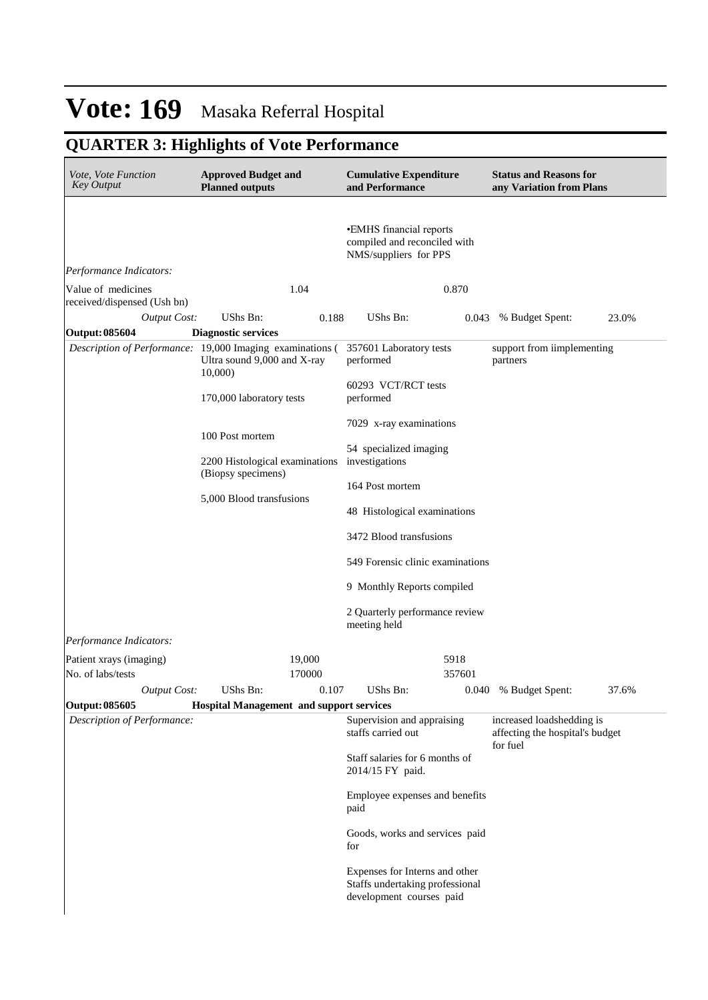## **QUARTER 3: Highlights of Vote Performance**

| Vote, Vote Function<br><b>Key Output</b>          | <b>Approved Budget and</b><br><b>Planned outputs</b>                                               | <b>Cumulative Expenditure</b><br>and Performance                                              | <b>Status and Reasons for</b><br>any Variation from Plans                |
|---------------------------------------------------|----------------------------------------------------------------------------------------------------|-----------------------------------------------------------------------------------------------|--------------------------------------------------------------------------|
| Performance Indicators:                           |                                                                                                    | •EMHS financial reports<br>compiled and reconciled with<br>NMS/suppliers for PPS              |                                                                          |
| Value of medicines<br>received/dispensed (Ush bn) | 1.04                                                                                               | 0.870                                                                                         |                                                                          |
| <b>Output Cost:</b>                               | UShs Bn:<br>0.188                                                                                  | UShs Bn:<br>0.043                                                                             | 23.0%<br>% Budget Spent:                                                 |
| Output: 085604                                    | <b>Diagnostic services</b>                                                                         |                                                                                               |                                                                          |
|                                                   | Description of Performance: 19,000 Imaging examinations (<br>Ultra sound 9,000 and X-ray<br>10,000 | 357601 Laboratory tests<br>performed                                                          | support from iimplementing<br>partners                                   |
|                                                   | 170,000 laboratory tests                                                                           | 60293 VCT/RCT tests<br>performed                                                              |                                                                          |
|                                                   | 100 Post mortem                                                                                    | 7029 x-ray examinations                                                                       |                                                                          |
|                                                   | 2200 Histological examinations<br>(Biopsy specimens)                                               | 54 specialized imaging<br>investigations                                                      |                                                                          |
|                                                   | 5,000 Blood transfusions                                                                           | 164 Post mortem                                                                               |                                                                          |
|                                                   |                                                                                                    | 48 Histological examinations                                                                  |                                                                          |
|                                                   |                                                                                                    | 3472 Blood transfusions                                                                       |                                                                          |
|                                                   |                                                                                                    | 549 Forensic clinic examinations                                                              |                                                                          |
|                                                   |                                                                                                    | 9 Monthly Reports compiled                                                                    |                                                                          |
|                                                   |                                                                                                    | 2 Quarterly performance review<br>meeting held                                                |                                                                          |
| Performance Indicators:                           |                                                                                                    |                                                                                               |                                                                          |
| Patient xrays (imaging)<br>No. of labs/tests      | 19,000<br>170000                                                                                   | 5918<br>357601                                                                                |                                                                          |
| Output Cost:                                      | UShs Bn:<br>0.107                                                                                  | UShs Bn:                                                                                      | 0.040 % Budget Spent:<br>37.6%                                           |
| Output: 085605                                    | <b>Hospital Management and support services</b>                                                    |                                                                                               |                                                                          |
| Description of Performance:                       |                                                                                                    | Supervision and appraising<br>staffs carried out                                              | increased loadshedding is<br>affecting the hospital's budget<br>for fuel |
|                                                   |                                                                                                    | Staff salaries for 6 months of<br>2014/15 FY paid.                                            |                                                                          |
|                                                   |                                                                                                    | Employee expenses and benefits<br>paid                                                        |                                                                          |
|                                                   |                                                                                                    | Goods, works and services paid<br>for                                                         |                                                                          |
|                                                   |                                                                                                    | Expenses for Interns and other<br>Staffs undertaking professional<br>development courses paid |                                                                          |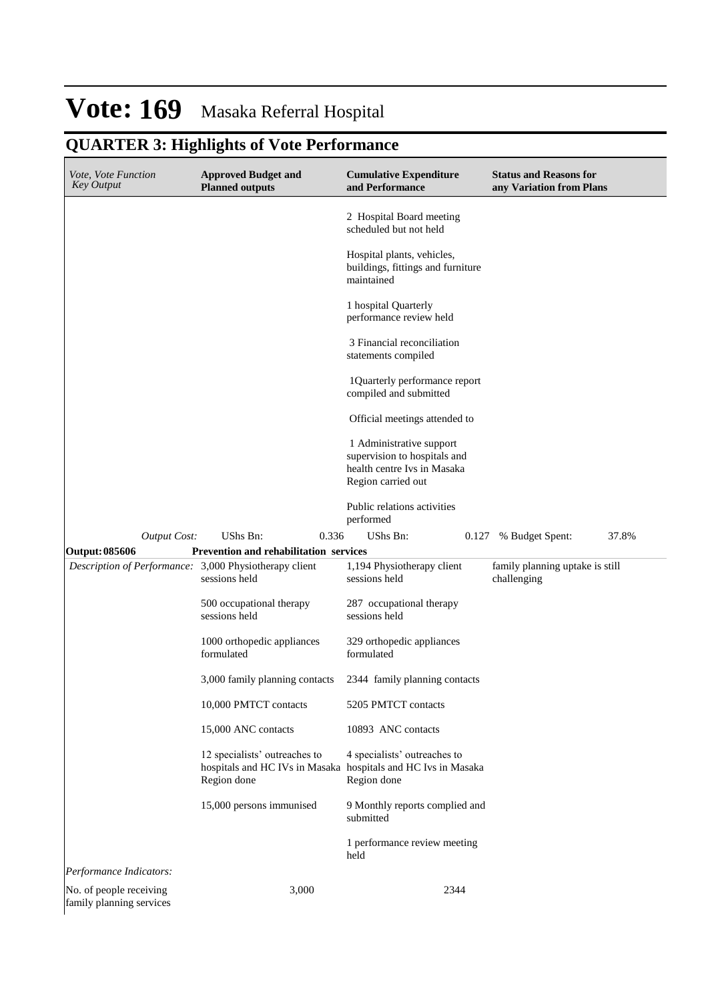# **QUARTER 3: Highlights of Vote Performance**

| <i>Vote, Vote Function</i><br><b>Key Output</b>     | <b>Approved Budget and</b><br><b>Planned outputs</b> | <b>Cumulative Expenditure</b><br>and Performance                                                              | <b>Status and Reasons for</b><br>any Variation from Plans |
|-----------------------------------------------------|------------------------------------------------------|---------------------------------------------------------------------------------------------------------------|-----------------------------------------------------------|
|                                                     |                                                      | 2 Hospital Board meeting<br>scheduled but not held                                                            |                                                           |
|                                                     |                                                      | Hospital plants, vehicles,<br>buildings, fittings and furniture<br>maintained                                 |                                                           |
|                                                     |                                                      | 1 hospital Quarterly<br>performance review held                                                               |                                                           |
|                                                     |                                                      | 3 Financial reconciliation<br>statements compiled                                                             |                                                           |
|                                                     |                                                      | 1Quarterly performance report<br>compiled and submitted                                                       |                                                           |
|                                                     |                                                      | Official meetings attended to                                                                                 |                                                           |
|                                                     |                                                      | 1 Administrative support<br>supervision to hospitals and<br>health centre Ivs in Masaka<br>Region carried out |                                                           |
|                                                     |                                                      | Public relations activities<br>performed                                                                      |                                                           |
| Output Cost:                                        | UShs Bn:<br>0.336                                    | UShs Bn:<br>0.127                                                                                             | 37.8%<br>% Budget Spent:                                  |
| Output: 085606                                      | Prevention and rehabilitation services               |                                                                                                               |                                                           |
| Description of Performance:                         | 3,000 Physiotherapy client<br>sessions held          | 1,194 Physiotherapy client<br>sessions held                                                                   | family planning uptake is still<br>challenging            |
|                                                     | 500 occupational therapy<br>sessions held            | 287 occupational therapy<br>sessions held                                                                     |                                                           |
|                                                     | 1000 orthopedic appliances<br>formulated             | 329 orthopedic appliances<br>formulated                                                                       |                                                           |
|                                                     | 3,000 family planning contacts                       | 2344 family planning contacts                                                                                 |                                                           |
|                                                     | 10,000 PMTCT contacts                                | 5205 PMTCT contacts                                                                                           |                                                           |
|                                                     | 15,000 ANC contacts                                  | 10893 ANC contacts                                                                                            |                                                           |
|                                                     | 12 specialists' outreaches to<br>Region done         | 4 specialists' outreaches to<br>hospitals and HC IVs in Masaka hospitals and HC Ivs in Masaka<br>Region done  |                                                           |
|                                                     | 15,000 persons immunised                             | 9 Monthly reports complied and<br>submitted                                                                   |                                                           |
|                                                     |                                                      | 1 performance review meeting<br>held                                                                          |                                                           |
| Performance Indicators:                             |                                                      |                                                                                                               |                                                           |
| No. of people receiving<br>family planning services | 3,000                                                | 2344                                                                                                          |                                                           |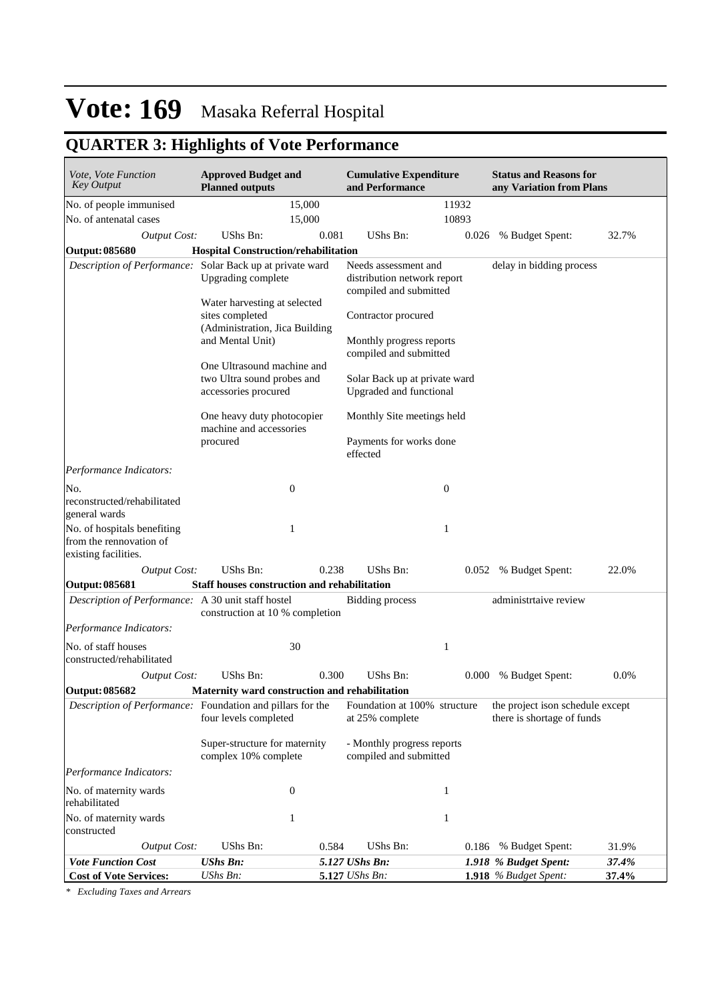## **QUARTER 3: Highlights of Vote Performance**

| <i>Vote, Vote Function</i><br>Key Output                                       | <b>Approved Budget and</b><br><b>Planned outputs</b>                              |       | <b>Cumulative Expenditure</b><br>and Performance                              |                  |       | <b>Status and Reasons for</b><br>any Variation from Plans      |       |
|--------------------------------------------------------------------------------|-----------------------------------------------------------------------------------|-------|-------------------------------------------------------------------------------|------------------|-------|----------------------------------------------------------------|-------|
| No. of people immunised                                                        | 15,000                                                                            |       |                                                                               | 11932            |       |                                                                |       |
| No. of antenatal cases                                                         | 15,000                                                                            |       |                                                                               | 10893            |       |                                                                |       |
| <b>Output Cost:</b>                                                            | UShs Bn:                                                                          | 0.081 | UShs Bn:                                                                      |                  | 0.026 | % Budget Spent:                                                | 32.7% |
| Output: 085680                                                                 | <b>Hospital Construction/rehabilitation</b>                                       |       |                                                                               |                  |       |                                                                |       |
| Description of Performance: Solar Back up at private ward                      | Upgrading complete                                                                |       | Needs assessment and<br>distribution network report<br>compiled and submitted |                  |       | delay in bidding process                                       |       |
|                                                                                | Water harvesting at selected<br>sites completed<br>(Administration, Jica Building |       | Contractor procured                                                           |                  |       |                                                                |       |
|                                                                                | and Mental Unit)                                                                  |       | Monthly progress reports<br>compiled and submitted                            |                  |       |                                                                |       |
|                                                                                | One Ultrasound machine and<br>two Ultra sound probes and<br>accessories procured  |       | Solar Back up at private ward<br>Upgraded and functional                      |                  |       |                                                                |       |
|                                                                                | One heavy duty photocopier<br>machine and accessories                             |       | Monthly Site meetings held                                                    |                  |       |                                                                |       |
|                                                                                | procured                                                                          |       | Payments for works done<br>effected                                           |                  |       |                                                                |       |
| Performance Indicators:                                                        |                                                                                   |       |                                                                               |                  |       |                                                                |       |
| No.                                                                            | $\boldsymbol{0}$                                                                  |       |                                                                               | $\boldsymbol{0}$ |       |                                                                |       |
| reconstructed/rehabilitated<br>general wards                                   |                                                                                   |       |                                                                               |                  |       |                                                                |       |
| No. of hospitals benefiting<br>from the rennovation of<br>existing facilities. | 1                                                                                 |       |                                                                               | 1                |       |                                                                |       |
| <b>Output Cost:</b>                                                            | UShs Bn:                                                                          | 0.238 | UShs Bn:                                                                      |                  | 0.052 | % Budget Spent:                                                | 22.0% |
| Output: 085681                                                                 | <b>Staff houses construction and rehabilitation</b>                               |       |                                                                               |                  |       |                                                                |       |
| Description of Performance: A 30 unit staff hostel                             | construction at 10 % completion                                                   |       | <b>Bidding process</b>                                                        |                  |       | administrtaive review                                          |       |
| Performance Indicators:                                                        |                                                                                   |       |                                                                               |                  |       |                                                                |       |
| No. of staff houses<br>constructed/rehabilitated                               | 30                                                                                |       |                                                                               | 1                |       |                                                                |       |
| <b>Output Cost:</b>                                                            | UShs Bn:                                                                          | 0.300 | UShs Bn:                                                                      |                  | 0.000 | % Budget Spent:                                                | 0.0%  |
| Output: 085682                                                                 | Maternity ward construction and rehabilitation                                    |       |                                                                               |                  |       |                                                                |       |
| Description of Performance: Foundation and pillars for the                     | four levels completed                                                             |       | Foundation at 100% structure<br>at 25% complete                               |                  |       | the project ison schedule except<br>there is shortage of funds |       |
|                                                                                | Super-structure for maternity<br>complex 10% complete                             |       | - Monthly progress reports<br>compiled and submitted                          |                  |       |                                                                |       |
| Performance Indicators:                                                        |                                                                                   |       |                                                                               |                  |       |                                                                |       |
| No. of maternity wards<br>rehabilitated                                        | $\boldsymbol{0}$                                                                  |       |                                                                               | 1                |       |                                                                |       |
| No. of maternity wards                                                         | 1                                                                                 |       |                                                                               | 1                |       |                                                                |       |
| constructed                                                                    |                                                                                   |       |                                                                               |                  |       |                                                                |       |
| <b>Output Cost:</b>                                                            | UShs Bn:                                                                          | 0.584 | UShs Bn:                                                                      |                  |       | 0.186 % Budget Spent:                                          | 31.9% |
| <b>Vote Function Cost</b>                                                      | <b>UShs Bn:</b>                                                                   |       | 5.127 UShs Bn:                                                                |                  |       | 1.918 % Budget Spent:                                          | 37.4% |
| <b>Cost of Vote Services:</b>                                                  | UShs Bn:                                                                          |       | 5.127 <i>UShs Bn:</i>                                                         |                  |       | 1.918 % Budget Spent:                                          | 37.4% |

*\* Excluding Taxes and Arrears*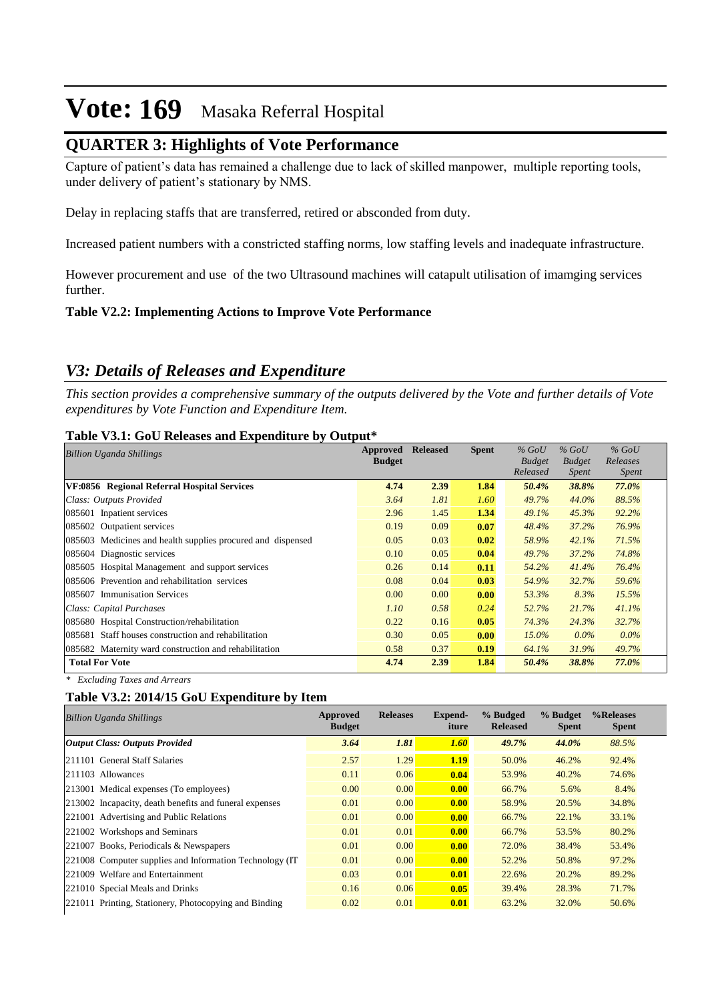## **QUARTER 3: Highlights of Vote Performance**

Capture of patient's data has remained a challenge due to lack of skilled manpower, multiple reporting tools, under delivery of patient's stationary by NMS.

Delay in replacing staffs that are transferred, retired or absconded from duty.

Increased patient numbers with a constricted staffing norms, low staffing levels and inadequate infrastructure.

However procurement and use of the two Ultrasound machines will catapult utilisation of imamging services further.

#### **Table V2.2: Implementing Actions to Improve Vote Performance**

## *V3: Details of Releases and Expenditure*

*This section provides a comprehensive summary of the outputs delivered by the Vote and further details of Vote expenditures by Vote Function and Expenditure Item.*

#### **Table V3.1: GoU Releases and Expenditure by Output\***

| <b>Billion Uganda Shillings</b>                             | Approved      | <b>Released</b> | <b>Spent</b> | $\%$ GoU      | $%$ GoU       | $%$ GoU      |
|-------------------------------------------------------------|---------------|-----------------|--------------|---------------|---------------|--------------|
|                                                             | <b>Budget</b> |                 |              | <b>Budget</b> | <b>Budget</b> | Releases     |
|                                                             |               |                 |              | Released      | <i>Spent</i>  | <i>Spent</i> |
| VF:0856 Regional Referral Hospital Services                 | 4.74          | 2.39            | 1.84         | 50.4%         | 38.8%         | 77.0%        |
| Class: Outputs Provided                                     | 3.64          | 1.81            | 1.60         | 49.7%         | 44.0%         | 88.5%        |
| 085601 Inpatient services                                   | 2.96          | 1.45            | 1.34         | 49.1%         | 45.3%         | 92.2%        |
| 085602 Outpatient services                                  | 0.19          | 0.09            | 0.07         | 48.4%         | 37.2%         | 76.9%        |
| 085603 Medicines and health supplies procured and dispensed | 0.05          | 0.03            | 0.02         | 58.9%         | 42.1%         | 71.5%        |
| 085604 Diagnostic services                                  | 0.10          | 0.05            | 0.04         | 49.7%         | 37.2%         | 74.8%        |
| 085605 Hospital Management and support services             | 0.26          | 0.14            | 0.11         | 54.2%         | 41.4%         | 76.4%        |
| 085606 Prevention and rehabilitation services               | 0.08          | 0.04            | 0.03         | 54.9%         | 32.7%         | 59.6%        |
| 085607 Immunisation Services                                | 0.00          | 0.00            | 0.00         | 53.3%         | 8.3%          | 15.5%        |
| Class: Capital Purchases                                    | 1.10          | 0.58            | 0.24         | 52.7%         | 21.7%         | 41.1%        |
| 085680 Hospital Construction/rehabilitation                 | 0.22          | 0.16            | 0.05         | 74.3%         | 24.3%         | 32.7%        |
| 085681 Staff houses construction and rehabilitation         | 0.30          | 0.05            | 0.00         | $15.0\%$      | $0.0\%$       | $0.0\%$      |
| 085682 Maternity ward construction and rehabilitation       | 0.58          | 0.37            | 0.19         | 64.1%         | 31.9%         | 49.7%        |
| <b>Total For Vote</b>                                       | 4.74          | 2.39            | 1.84         | 50.4%         | 38.8%         | 77.0%        |

*\* Excluding Taxes and Arrears*

#### **Table V3.2: 2014/15 GoU Expenditure by Item**

| <b>Billion Uganda Shillings</b>                          | Approved<br><b>Budget</b> | <b>Releases</b> | Expend-<br>iture | % Budged<br><b>Released</b> | % Budget<br><b>Spent</b> | %Releases<br><b>Spent</b> |
|----------------------------------------------------------|---------------------------|-----------------|------------------|-----------------------------|--------------------------|---------------------------|
| Output Class: Outputs Provided                           | 3.64                      | 1.81            | 1.60             | 49.7%                       | 44.0%                    | 88.5%                     |
| 211101 General Staff Salaries                            | 2.57                      | 1.29            | 1.19             | 50.0%                       | 46.2%                    | 92.4%                     |
| 211103 Allowances                                        | 0.11                      | 0.06            | 0.04             | 53.9%                       | 40.2%                    | 74.6%                     |
| [213001 Medical expenses (To employees)                  | 0.00                      | 0.00            | 0.00             | 66.7%                       | 5.6%                     | 8.4%                      |
| 213002 Incapacity, death benefits and funeral expenses   | 0.01                      | 0.00            | 0.00             | 58.9%                       | 20.5%                    | 34.8%                     |
| 221001 Advertising and Public Relations                  | 0.01                      | 0.00            | 0.00             | 66.7%                       | 22.1%                    | 33.1%                     |
| 221002 Workshops and Seminars                            | 0.01                      | 0.01            | 0.00             | 66.7%                       | 53.5%                    | 80.2%                     |
| 221007 Books, Periodicals & Newspapers                   | 0.01                      | 0.00            | 0.00             | 72.0%                       | 38.4%                    | 53.4%                     |
| 221008 Computer supplies and Information Technology (IT) | 0.01                      | 0.00            | 0.00             | 52.2%                       | 50.8%                    | 97.2%                     |
| 221009 Welfare and Entertainment                         | 0.03                      | 0.01            | 0.01             | 22.6%                       | 20.2%                    | 89.2%                     |
| 221010 Special Meals and Drinks                          | 0.16                      | 0.06            | 0.05             | 39.4%                       | 28.3%                    | 71.7%                     |
| 221011 Printing, Stationery, Photocopying and Binding    | 0.02                      | 0.01            | 0.01             | 63.2%                       | 32.0%                    | 50.6%                     |